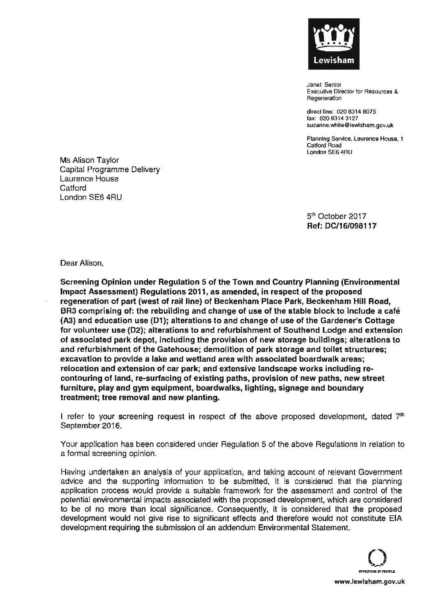

**Janet Senior Executive Director for Resources & Regeneration** 

direct line: 0208314 8075 fax: 02083143127 **5uzanne.White@lewisham.gov.uk** 

**Planning Service, Laurence House, 1**  Catford Road London SE6 4RU

Ms Alison Taylor Capital Programme Delivery Laurence House Catford London SE6 4RU

> 5<sup>th</sup> October 2017 Ref: OC/16/098117

Dear Alison,

Screening Opinion under Regulation 5 of the Town and Country Planning (Environmental Impact Assessment) Regulations 2011, as amended, in respect of the proposed regeneration of part (west of rail line) of Beckenham Place Park, Beckenham Hill Road, BR3 comprising of: the rebuilding and change of use of the stable block to include a cafe (A3) and education use (01); alterations to and change of use of the Gardener's Cottage for volunteer use (02); alterations to and refurbishment of Southend Lodge and extension of associated park depot, including the provision of new storage buildings; alterations to and refurbishment of the Gatehouse; demolition of park storage and toilet structures; excavation to provide a lake and wetland area with associated boardwalk areas; relocation and extension of car park; and extensive landscape works including recontouring of land, re-surfacing of existing paths, provision of new paths, new street furniture, play and gym equipment, boardwalks, lighting, signage and boundary treatment; tree removal and new planting.

I refer to your screening request in respect of the above proposed development, dated  $7<sup>th</sup>$ September 2016.

Your application has been considered under Regulation 5 of the above Regulations in relation to a formal screening opinion.

Having undertaken an analysis of your application, and taking account of relevant Govemment advice and the supporting information to be submitted, it is considered that the planning application process would provide a suitable framework for the assessment and control of the potential environmental impacts associated with the proposed development, which are considered to be of no more than local significance. Consequently, it is considered that the proposed development would not give rise to significant effects and therefore would not constitute EIA development requiring the submission of an addendum Environmental Statement.